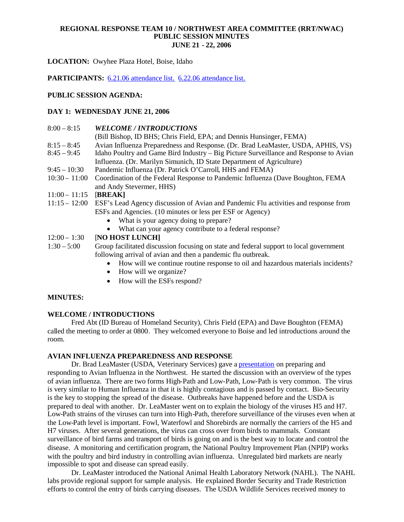**LOCATION:** Owyhee Plaza Hotel, Boise, Idaho

**PARTICIPANTS:** 6.21.06 attendance list. 6.22.06 attendance list.

#### **PUBLIC SESSION AGENDA:**

#### **DAY 1: WEDNESDAY JUNE 21, 2006**

| <i><b>WELCOME / INTRODUCTIONS</b></i>                                                 |
|---------------------------------------------------------------------------------------|
| (Bill Bishop, ID BHS; Chris Field, EPA; and Dennis Hunsinger, FEMA)                   |
| Avian Influenza Preparedness and Response. (Dr. Brad LeaMaster, USDA, APHIS, VS)      |
| Idaho Poultry and Game Bird Industry – Big Picture Surveillance and Response to Avian |
| Influenza. (Dr. Marilyn Simunich, ID State Department of Agriculture)                 |
| Pandemic Influenza (Dr. Patrick O'Carroll, HHS and FEMA)                              |
| Coordination of the Federal Response to Pandemic Influenza (Dave Boughton, FEMA       |
| and Andy Stevermer, HHS)                                                              |
| [BREAK]                                                                               |
| ESF's Lead Agency discussion of Avian and Pandemic Flu activities and response from   |
| ESFs and Agencies. (10 minutes or less per ESF or Agency)                             |
| What is your agency doing to prepare?<br>$\bullet$                                    |
| What can your agency contribute to a federal response?<br>$\bullet$                   |
|                                                                                       |

# 12:00 – 1:30 **[NO HOST LUNCH]**

1:30 – 5:00 Group facilitated discussion focusing on state and federal support to local government following arrival of avian and then a pandemic flu outbreak.

- How will we continue routine response to oil and hazardous materials incidents?
- How will we organize?
- How will the ESFs respond?

# **MINUTES:**

#### **WELCOME / INTRODUCTIONS**

Fred Abt (ID Bureau of Homeland Security), Chris Field (EPA) and Dave Boughton (FEMA) called the meeting to order at 0800. They welcomed everyone to Boise and led introductions around the room.

#### **AVIAN INFLUENZA PREPAREDNESS AND RESPONSE**

Dr. Brad LeaMaster (USDA, Veterinary Services) gave a presentation on preparing and responding to Avian Influenza in the Northwest. He started the discussion with an overview of the types of avian influenza. There are two forms High-Path and Low-Path, Low-Path is very common. The virus is very similar to Human Influenza in that it is highly contagious and is passed by contact. Bio-Security is the key to stopping the spread of the disease. Outbreaks have happened before and the USDA is prepared to deal with another. Dr. LeaMaster went on to explain the biology of the viruses H5 and H7. Low-Path strains of the viruses can turn into High-Path, therefore surveillance of the viruses even when at the Low-Path level is important. Fowl, Waterfowl and Shorebirds are normally the carriers of the H5 and H7 viruses. After several generations, the virus can cross over from birds to mammals. Constant surveillance of bird farms and transport of birds is going on and is the best way to locate and control the disease. A monitoring and certification program, the National Poultry Improvement Plan (NPIP) works with the poultry and bird industry in controlling avian influenza. Unregulated bird markets are nearly impossible to spot and disease can spread easily.

Dr. LeaMaster introduced the National Animal Health Laboratory Network (NAHL). The NAHL labs provide regional support for sample analysis. He explained Border Security and Trade Restriction efforts to control the entry of birds carrying diseases. The USDA Wildlife Services received money to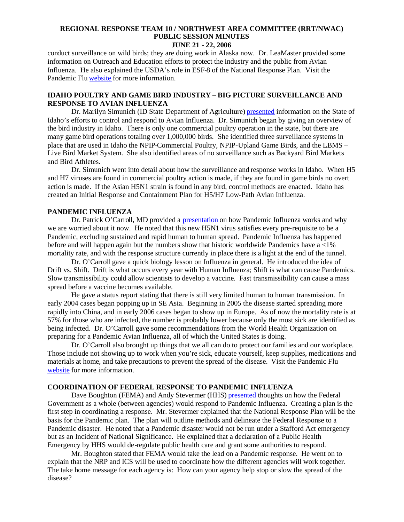**JUNE 21 - 22, 2006**

conduct surveillance on wild birds; they are doing work in Alaska now. Dr. LeaMaster provided some information on Outreach and Education efforts to protect the industry and the public from Avian Influenza. He also explained the USDA's role in ESF-8 of the National Response Plan. Visit the Pandemic Flu website for more information.

# **IDAHO POULTRY AND GAME BIRD INDUSTRY – BIG PICTURE SURVEILLANCE AND RESPONSE TO AVIAN INFLUENZA**

Dr. Marilyn Simunich (ID State Department of Agriculture) presented information on the State of Idaho's efforts to control and respond to Avian Influenza. Dr. Simunich began by giving an overview of the bird industry in Idaho. There is only one commercial poultry operation in the state, but there are many game bird operations totaling over 1,000,000 birds. She identified three surveillance systems in place that are used in Idaho the NPIP-Commercial Poultry, NPIP-Upland Game Birds, and the LBMS – Live Bird Market System. She also identified areas of no surveillance such as Backyard Bird Markets and Bird Athletes.

Dr. Simunich went into detail about how the surveillance and response works in Idaho. When H5 and H7 viruses are found in commercial poultry action is made, if they are found in game birds no overt action is made. If the Asian H5N1 strain is found in any bird, control methods are enacted. Idaho has created an Initial Response and Containment Plan for H5/H7 Low-Path Avian Influenza.

#### **PANDEMIC INFLUENZA**

Dr. Patrick O'Carroll, MD provided a presentation on how Pandemic Influenza works and why we are worried about it now. He noted that this new H5N1 virus satisfies every pre-requisite to be a Pandemic, excluding sustained and rapid human to human spread. Pandemic Influenza has happened before and will happen again but the numbers show that historic worldwide Pandemics have a <1% mortality rate, and with the response structure currently in place there is a light at the end of the tunnel.

Dr. O'Carroll gave a quick biology lesson on Influenza in general. He introduced the idea of Drift vs. Shift. Drift is what occurs every year with Human Influenza; Shift is what can cause Pandemics. Slow transmissibility could allow scientists to develop a vaccine. Fast transmissibility can cause a mass spread before a vaccine becomes available.

He gave a status report stating that there is still very limited human to human transmission. In early 2004 cases began popping up in SE Asia. Beginning in 2005 the disease started spreading more rapidly into China, and in early 2006 cases began to show up in Europe. As of now the mortality rate is at 57% for those who are infected, the number is probably lower because only the most sick are identified as being infected. Dr. O'Carroll gave some recommendations from the World Health Organization on preparing for a Pandemic Avian Influenza, all of which the United States is doing.

Dr. O'Carroll also brought up things that we all can do to protect our families and our workplace. Those include not showing up to work when you're sick, educate yourself, keep supplies, medications and materials at home, and take precautions to prevent the spread of the disease. Visit the Pandemic Flu website for more information.

#### **COORDINATION OF FEDERAL RESPONSE TO PANDEMIC INFLUENZA**

Dave Boughton (FEMA) and Andy Stevermer (HHS) **presented** thoughts on how the Federal Government as a whole (between agencies) would respond to Pandemic Influenza. Creating a plan is the first step in coordinating a response. Mr. Stevermer explained that the National Response Plan will be the basis for the Pandemic plan. The plan will outline methods and delineate the Federal Response to a Pandemic disaster. He noted that a Pandemic disaster would not be run under a Stafford Act emergency but as an Incident of National Significance. He explained that a declaration of a Public Health Emergency by HHS would de-regulate public health care and grant some authorities to respond.

Mr. Boughton stated that FEMA would take the lead on a Pandemic response. He went on to explain that the NRP and ICS will be used to coordinate how the different agencies will work together. The take home message for each agency is: How can your agency help stop or slow the spread of the disease?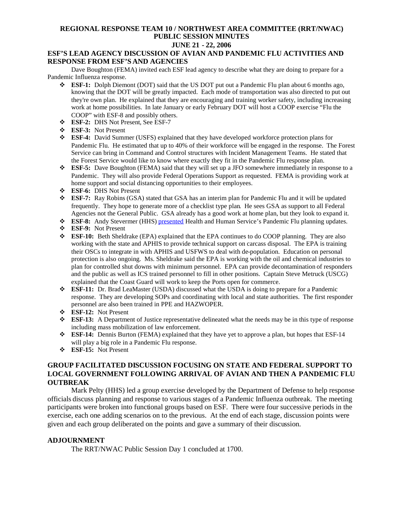# **JUNE 21 - 22, 2006**

#### **ESF'S LEAD AGENCY DISCUSSION OF AVIAN AND PANDEMIC FLU ACTIVITIES AND RESPONSE FROM ESF'S AND AGENCIES**

Dave Boughton (FEMA) invited each ESF lead agency to describe what they are doing to prepare for a Pandemic Influenza response.

- **ESF-1:** Dolph Diemont (DOT) said that the US DOT put out a Pandemic Flu plan about 6 months ago, knowing that the DOT will be greatly impacted. Each mode of transportation was also directed to put out they're own plan. He explained that they are encouraging and training worker safety, including increasing work at home possibilities. In late January or early February DOT will host a COOP exercise "Flu the COOP" with ESF-8 and possibly others.
- **ESF-2:** DHS Not Present, See ESF-7
- **ESF-3:** Not Present
- **ESF-4:** David Summer (USFS) explained that they have developed workforce protection plans for Pandemic Flu. He estimated that up to 40% of their workforce will be engaged in the response. The Forest Service can bring in Command and Control structures with Incident Management Teams. He stated that the Forest Service would like to know where exactly they fit in the Pandemic Flu response plan.
- **ESF-5:** Dave Boughton (FEMA) said that they will set up a JFO somewhere immediately in response to a Pandemic. They will also provide Federal Operations Support as requested. FEMA is providing work at home support and social distancing opportunities to their employees.
- **ESF-6:** DHS Not Present
- **ESF-7:** Ray Robins (GSA) stated that GSA has an interim plan for Pandemic Flu and it will be updated frequently. They hope to generate more of a checklist type plan. He sees GSA as support to all Federal Agencies not the General Public. GSA already has a good work at home plan, but they look to expand it.
- **ESF-8:** Andy Stevermer (HHS) presented Health and Human Service's Pandemic Flu planning updates.
- **ESF-9:** Not Present
- **ESF-10:** Beth Sheldrake (EPA) explained that the EPA continues to do COOP planning. They are also working with the state and APHIS to provide technical support on carcass disposal. The EPA is training their OSCs to integrate in with APHIS and USFWS to deal with de-population. Education on personal protection is also ongoing. Ms. Sheldrake said the EPA is working with the oil and chemical industries to plan for controlled shut downs with minimum personnel. EPA can provide decontamination of responders and the public as well as ICS trained personnel to fill in other positions. Captain Steve Metruck (USCG) explained that the Coast Guard will work to keep the Ports open for commerce.
- **ESF-11:** Dr. Brad LeaMaster (USDA) discussed what the USDA is doing to prepare for a Pandemic response. They are developing SOPs and coordinating with local and state authorities. The first responder personnel are also been trained in PPE and HAZWOPER.
- **ESF-12:** Not Present
- **ESF-13:** A Department of Justice representative delineated what the needs may be in this type of response including mass mobilization of law enforcement.
- **ESF-14:** Dennis Burton (FEMA) explained that they have yet to approve a plan, but hopes that ESF-14 will play a big role in a Pandemic Flu response.
- **ESF-15:** Not Present

# **GROUP FACILITATED DISCUSSION FOCUSING ON STATE AND FEDERAL SUPPORT TO LOCAL GOVERNMENT FOLLOWING ARRIVAL OF AVIAN AND THEN A PANDEMIC FLU OUTBREAK**

Mark Pelty (HHS) led a group exercise developed by the Department of Defense to help response officials discuss planning and response to various stages of a Pandemic Influenza outbreak. The meeting participants were broken into functional groups based on ESF. There were four successive periods in the exercise, each one adding scenarios on to the previous. At the end of each stage, discussion points were given and each group deliberated on the points and gave a summary of their discussion.

#### **ADJOURNMENT**

The RRT/NWAC Public Session Day 1 concluded at 1700.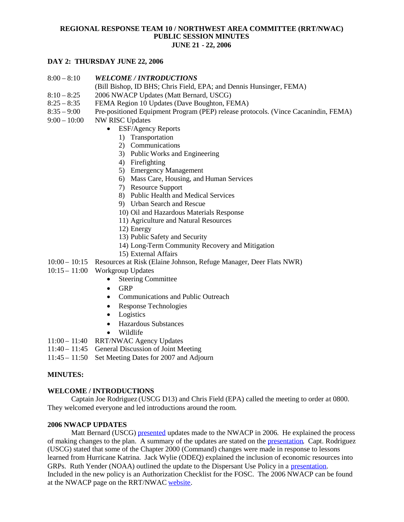### **DAY 2: THURSDAY JUNE 22, 2006**

- 8:00 8:10 *WELCOME / INTRODUCTIONS*
	- (Bill Bishop, ID BHS; Chris Field, EPA; and Dennis Hunsinger, FEMA)
- 8:10 8:25 2006 NWACP Updates (Matt Bernard, USCG)
- 8:25 8:35 FEMA Region 10 Updates (Dave Boughton, FEMA)
- 8:35 9:00 Pre-positioned Equipment Program (PEP) release protocols. (Vince Cacanindin, FEMA)
- 9:00 10:00 NW RISC Updates
	- ESF/Agency Reports
		- 1) Transportation
		- 2) Communications
		- 3) Public Works and Engineering
		- 4) Firefighting
		- 5) Emergency Management
		- 6) Mass Care, Housing, and Human Services
		- 7) Resource Support
		- 8) Public Health and Medical Services
		- 9) Urban Search and Rescue
		- 10) Oil and Hazardous Materials Response
		- 11) Agriculture and Natural Resources
		- 12) Energy
		- 13) Public Safety and Security
		- 14) Long-Term Community Recovery and Mitigation
		- 15) External Affairs
- 10:00 10:15 Resources at Risk (Elaine Johnson, Refuge Manager, Deer Flats NWR)
- 10:15 11:00 Workgroup Updates
	- Steering Committee
	- $\bullet$  GRP
	- Communications and Public Outreach
	- Response Technologies
	- Logistics
	- Hazardous Substances
	- Wildlife
- 11:00 11:40 RRT/NWAC Agency Updates
- 11:40 11:45 General Discussion of Joint Meeting
- 11:45 11:50 Set Meeting Dates for 2007 and Adjourn

#### **MINUTES:**

#### **WELCOME / INTRODUCTIONS**

Captain Joe Rodriguez (USCG D13) and Chris Field (EPA) called the meeting to order at 0800. They welcomed everyone and led introductions around the room.

# **2006 NWACP UPDATES**

Matt Bernard (USCG) presented updates made to the NWACP in 2006. He explained the process of making changes to the plan. A summary of the updates are stated on the presentation. Capt. Rodriguez (USCG) stated that some of the Chapter 2000 (Command) changes were made in response to lessons learned from Hurricane Katrina. Jack Wylie (ODEQ) explained the inclusion of economic resources into GRPs. Ruth Yender (NOAA) outlined the update to the Dispersant Use Policy in a presentation. Included in the new policy is an Authorization Checklist for the FOSC. The 2006 NWACP can be found at the NWACP page on the RRT/NWAC website.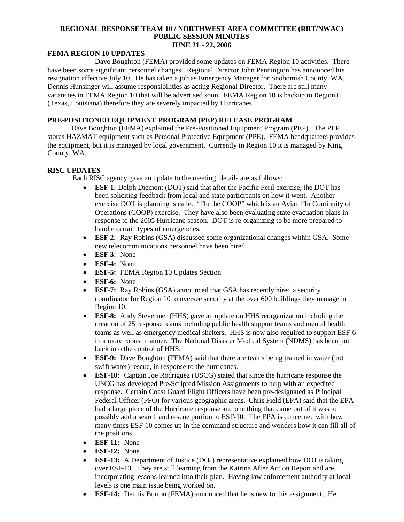#### **FEMA REGION 10 UPDATES**

Dave Boughton (FEMA) provided some updates on FEMA Region 10 activities. There have been some significant personnel changes. Regional Director John Pennington has announced his resignation affective July 10. He has taken a job as Emergency Manager for Snohomish County, WA. Dennis Hunsinger will assume responsibilities as acting Regional Director. There are still many vacancies in FEMA Region 10 that will be advertised soon. FEMA Region 10 is backup to Region 6 (Texas, Louisiana) therefore they are severely impacted by Hurricanes.

# **PRE-POSITIONED EQUIPMENT PROGRAM (PEP) RELEASE PROGRAM**

Dave Boughton (FEMA) explained the Pre-Positioned Equipment Program (PEP). The PEP stores HAZMAT equipment such as Personal Protective Equipment (PPE). FEMA headquarters provides the equipment, but it is managed by local government. Currently in Region 10 it is managed by King County, WA.

#### **RISC UPDATES**

Each RISC agency gave an update to the meeting, details are as follows:

- **ESF-1:** Dolph Diemont (DOT) said that after the Pacific Peril exercise, the DOT has been soliciting feedback from local and state participants on how it went. Another exercise DOT is planning is called "Flu the COOP" which is an Avian Flu Continuity of Operations (COOP) exercise. They have also been evaluating state evacuation plans in response to the 2005 Hurricane season. DOT is re-organizing to be more prepared to handle certain types of emergencies.
- **ESF-2:** Ray Robins (GSA) discussed some organizational changes within GSA. Some new telecommunications personnel have been hired.
- **ESF-3:** None
- **ESF-4:** None
- **ESF-5:** FEMA Region 10 Updates Section
- **ESF-6:** None
- **ESF-7:** Ray Robins (GSA) announced that GSA has recently hired a security coordinator for Region 10 to oversee security at the over 600 buildings they manage in Region 10.
- **ESF-8:** Andy Stevermer (HHS) gave an update on HHS reorganization including the creation of 25 response teams including public health support teams and mental health teams as well as emergency medical shelters. HHS is now also required to support ESF-6 in a more robust manner. The National Disaster Medical System (NDMS) has been put back into the control of HHS.
- **ESF-9:** Dave Boughton (FEMA) said that there are teams being trained in water (not swift water) rescue, in response to the hurricanes.
- **ESF-10:** Captain Joe Rodriguez (USCG) stated that since the hurricane response the USCG has developed Pre-Scripted Mission Assignments to help with an expedited response. Certain Coast Guard Flight Officers have been pre-designated as Principal Federal Officer (PFO) for various geographic areas. Chris Field (EPA) said that the EPA had a large piece of the Hurricane response and one thing that came out of it was to possibly add a search and rescue portion to ESF-10. The EPA is concerned with how many times ESF-10 comes up in the command structure and wonders how it can fill all of the positions.
- **ESF-11:** None
- **ESF-12:** None
- **ESF-13:** A Department of Justice (DOJ) representative explained how DOJ is taking over ESF-13. They are still learning from the Katrina After Action Report and are incorporating lessons learned into their plan. Having law enforcement authority at local levels is one main issue being worked on.
- **ESF-14:** Dennis Burton (FEMA) announced that he is new to this assignment. He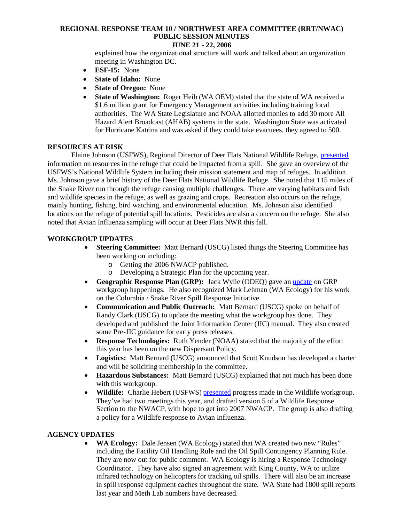# **JUNE 21 - 22, 2006**

explained how the organizational structure will work and talked about an organization meeting in Washington DC.

- **ESF-15:** None
- **State of Idaho:** None
- **State of Oregon:** None
- **State of Washington:** Roger Heib (WA OEM) stated that the state of WA received a \$1.6 million grant for Emergency Management activities including training local authorities. The WA State Legislature and NOAA allotted monies to add 30 more All Hazard Alert Broadcast (AHAB) systems in the state. Washington State was activated for Hurricane Katrina and was asked if they could take evacuees, they agreed to 500.

#### **RESOURCES AT RISK**

Elaine Johnson (USFWS), Regional Director of Deer Flats National Wildlife Refuge, presented information on resources in the refuge that could be impacted from a spill. She gave an overview of the USFWS's National Wildlife System including their mission statement and map of refuges. In addition Ms. Johnson gave a brief history of the Deer Flats National Wildlife Refuge. She noted that 115 miles of the Snake River run through the refuge causing multiple challenges. There are varying habitats and fish and wildlife species in the refuge, as well as grazing and crops. Recreation also occurs on the refuge, mainly hunting, fishing, bird watching, and environmental education. Ms. Johnson also identified locations on the refuge of potential spill locations. Pesticides are also a concern on the refuge. She also noted that Avian Influenza sampling will occur at Deer Flats NWR this fall.

# **WORKGROUP UPDATES**

- **Steering Committee:** Matt Bernard (USCG) listed things the Steering Committee has been working on including:
	- o Getting the 2006 NWACP published.
	- o Developing a Strategic Plan for the upcoming year.
- **Geographic Response Plan (GRP):** Jack Wylie (ODEQ) gave an update on GRP workgroup happenings. He also recognized Mark Lehman (WA Ecology) for his work on the Columbia / Snake River Spill Response Initiative.
- **Communication and Public Outreach:** Matt Bernard (USCG) spoke on behalf of Randy Clark (USCG) to update the meeting what the workgroup has done. They developed and published the Joint Information Center (JIC) manual. They also created some Pre-JIC guidance for early press releases.
- **Response Technologies:** Ruth Yender (NOAA) stated that the majority of the effort this year has been on the new Dispersant Policy.
- **Logistics:** Matt Bernard (USCG) announced that Scott Knudson has developed a charter and will be soliciting membership in the committee.
- **Hazardous Substances:** Matt Bernard (USCG) explained that not much has been done with this workgroup.
- Wildlife: Charlie Hebert (USFWS) presented progress made in the Wildlife workgroup. They've had two meetings this year, and drafted version 5 of a Wildlife Response Section to the NWACP, with hope to get into 2007 NWACP. The group is also drafting a policy for a Wildlife response to Avian Influenza.

# **AGENCY UPDATES**

 **WA Ecology:** Dale Jensen (WA Ecology) stated that WA created two new "Rules" including the Facility Oil Handling Rule and the Oil Spill Contingency Planning Rule. They are now out for public comment. WA Ecology is hiring a Response Technology Coordinator. They have also signed an agreement with King County, WA to utilize infrared technology on helicopters for tracking oil spills. There will also be an increase in spill response equipment caches throughout the state. WA State had 1800 spill reports last year and Meth Lab numbers have decreased.